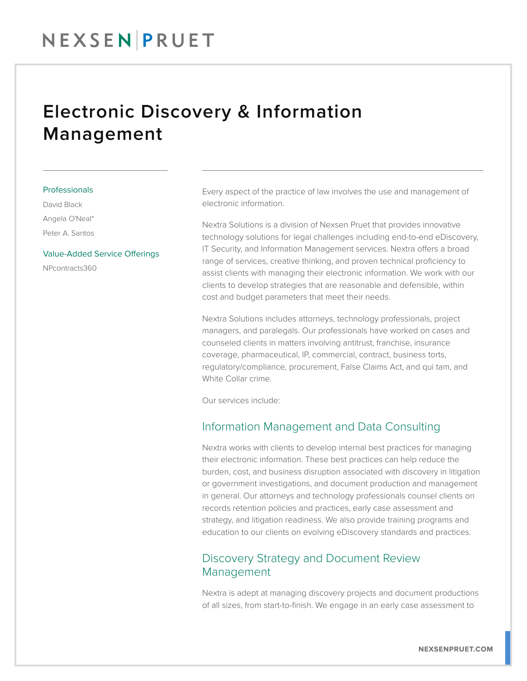## Electronic Discovery & Information Management

#### Professionals

David Black Angela O'Neal\* Peter A. Santos

#### Value-Added Service Offerings

NPcontracts360

Every aspect of the practice of law involves the use and management of electronic information.

Nextra Solutions is a division of Nexsen Pruet that provides innovative technology solutions for legal challenges including end-to-end eDiscovery, IT Security, and Information Management services. Nextra offers a broad range of services, creative thinking, and proven technical proficiency to assist clients with managing their electronic information. We work with our clients to develop strategies that are reasonable and defensible, within cost and budget parameters that meet their needs.

Nextra Solutions includes attorneys, technology professionals, project managers, and paralegals. Our professionals have worked on cases and counseled clients in matters involving antitrust, franchise, insurance coverage, pharmaceutical, IP, commercial, contract, business torts, regulatory/compliance, procurement, False Claims Act, and qui tam, and White Collar crime.

Our services include:

#### Information Management and Data Consulting

Nextra works with clients to develop internal best practices for managing their electronic information. These best practices can help reduce the burden, cost, and business disruption associated with discovery in litigation or government investigations, and document production and management in general. Our attorneys and technology professionals counsel clients on records retention policies and practices, early case assessment and strategy, and litigation readiness. We also provide training programs and education to our clients on evolving eDiscovery standards and practices.

#### Discovery Strategy and Document Review Management

Nextra is adept at managing discovery projects and document productions of all sizes, from start-to-finish. We engage in an early case assessment to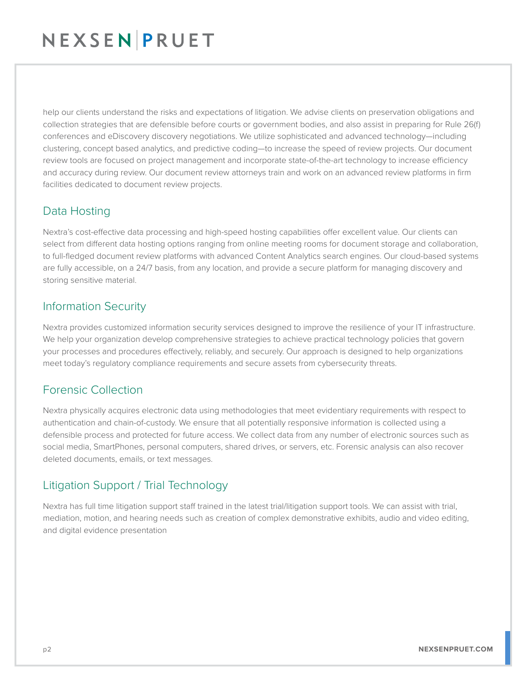## NEXSENPRUET

help our clients understand the risks and expectations of litigation. We advise clients on preservation obligations and collection strategies that are defensible before courts or government bodies, and also assist in preparing for Rule 26(f) conferences and eDiscovery discovery negotiations. We utilize sophisticated and advanced technology—including clustering, concept based analytics, and predictive coding—to increase the speed of review projects. Our document review tools are focused on project management and incorporate state-of-the-art technology to increase efficiency and accuracy during review. Our document review attorneys train and work on an advanced review platforms in firm facilities dedicated to document review projects.

### Data Hosting

Nextra's cost-effective data processing and high-speed hosting capabilities offer excellent value. Our clients can select from different data hosting options ranging from online meeting rooms for document storage and collaboration, to full-fledged document review platforms with advanced Content Analytics search engines. Our cloud-based systems are fully accessible, on a 24/7 basis, from any location, and provide a secure platform for managing discovery and storing sensitive material.

#### Information Security

Nextra provides customized information security services designed to improve the resilience of your IT infrastructure. We help your organization develop comprehensive strategies to achieve practical technology policies that govern your processes and procedures effectively, reliably, and securely. Our approach is designed to help organizations meet today's regulatory compliance requirements and secure assets from cybersecurity threats.

### Forensic Collection

Nextra physically acquires electronic data using methodologies that meet evidentiary requirements with respect to authentication and chain-of-custody. We ensure that all potentially responsive information is collected using a defensible process and protected for future access. We collect data from any number of electronic sources such as social media, SmartPhones, personal computers, shared drives, or servers, etc. Forensic analysis can also recover deleted documents, emails, or text messages.

### Litigation Support / Trial Technology

Nextra has full time litigation support staff trained in the latest trial/litigation support tools. We can assist with trial, mediation, motion, and hearing needs such as creation of complex demonstrative exhibits, audio and video editing, and digital evidence presentation